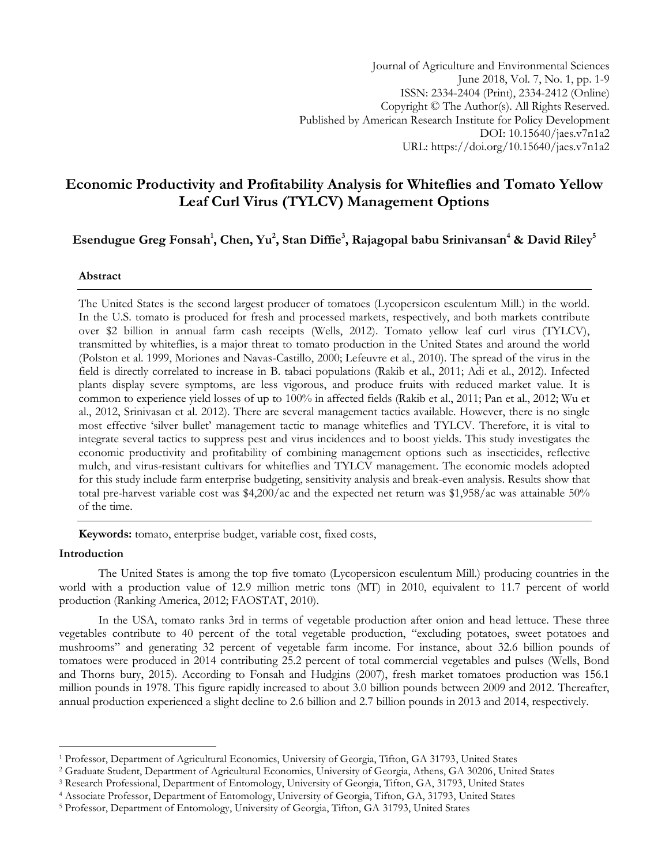# **Economic Productivity and Profitability Analysis for Whiteflies and Tomato Yellow Leaf Curl Virus (TYLCV) Management Options**

## **Esendugue Greg Fonsah<sup>1</sup> , Chen, Yu<sup>2</sup> , Stan Diffie<sup>3</sup> , Rajagopal babu Srinivansan<sup>4</sup> & David Riley<sup>5</sup>**

## **Abstract**

The United States is the second largest producer of tomatoes (Lycopersicon esculentum Mill.) in the world. In the U.S. tomato is produced for fresh and processed markets, respectively, and both markets contribute over \$2 billion in annual farm cash receipts (Wells, 2012). Tomato yellow leaf curl virus (TYLCV), transmitted by whiteflies, is a major threat to tomato production in the United States and around the world (Polston et al. 1999, Moriones and Navas-Castillo, 2000; Lefeuvre et al., 2010). The spread of the virus in the field is directly correlated to increase in B. tabaci populations (Rakib et al., 2011; Adi et al., 2012). Infected plants display severe symptoms, are less vigorous, and produce fruits with reduced market value. It is common to experience yield losses of up to 100% in affected fields (Rakib et al., 2011; Pan et al., 2012; Wu et al., 2012, Srinivasan et al. 2012). There are several management tactics available. However, there is no single most effective "silver bullet" management tactic to manage whiteflies and TYLCV. Therefore, it is vital to integrate several tactics to suppress pest and virus incidences and to boost yields. This study investigates the economic productivity and profitability of combining management options such as insecticides, reflective mulch, and virus-resistant cultivars for whiteflies and TYLCV management. The economic models adopted for this study include farm enterprise budgeting, sensitivity analysis and break-even analysis. Results show that total pre-harvest variable cost was \$4,200/ac and the expected net return was \$1,958/ac was attainable 50% of the time.

**Keywords:** tomato, enterprise budget, variable cost, fixed costs,

## **Introduction**

 $\overline{a}$ 

The United States is among the top five tomato (Lycopersicon esculentum Mill.) producing countries in the world with a production value of 12.9 million metric tons (MT) in 2010, equivalent to 11.7 percent of world production (Ranking America, 2012; FAOSTAT, 2010).

In the USA, tomato ranks 3rd in terms of vegetable production after onion and head lettuce. These three vegetables contribute to 40 percent of the total vegetable production, "excluding potatoes, sweet potatoes and mushrooms" and generating 32 percent of vegetable farm income. For instance, about 32.6 billion pounds of tomatoes were produced in 2014 contributing 25.2 percent of total commercial vegetables and pulses (Wells, Bond and Thorns bury, 2015). According to Fonsah and Hudgins (2007), fresh market tomatoes production was 156.1 million pounds in 1978. This figure rapidly increased to about 3.0 billion pounds between 2009 and 2012. Thereafter, annual production experienced a slight decline to 2.6 billion and 2.7 billion pounds in 2013 and 2014, respectively.

<sup>1</sup> Professor, Department of Agricultural Economics, University of Georgia, Tifton, GA 31793, United States

<sup>2</sup> Graduate Student, Department of Agricultural Economics, University of Georgia, Athens, GA 30206, United States

<sup>3</sup> Research Professional, Department of Entomology, University of Georgia, Tifton, GA, 31793, United States

<sup>4</sup> Associate Professor, Department of Entomology, University of Georgia, Tifton, GA, 31793, United States

<sup>5</sup> Professor, Department of Entomology, University of Georgia, Tifton, GA 31793, United States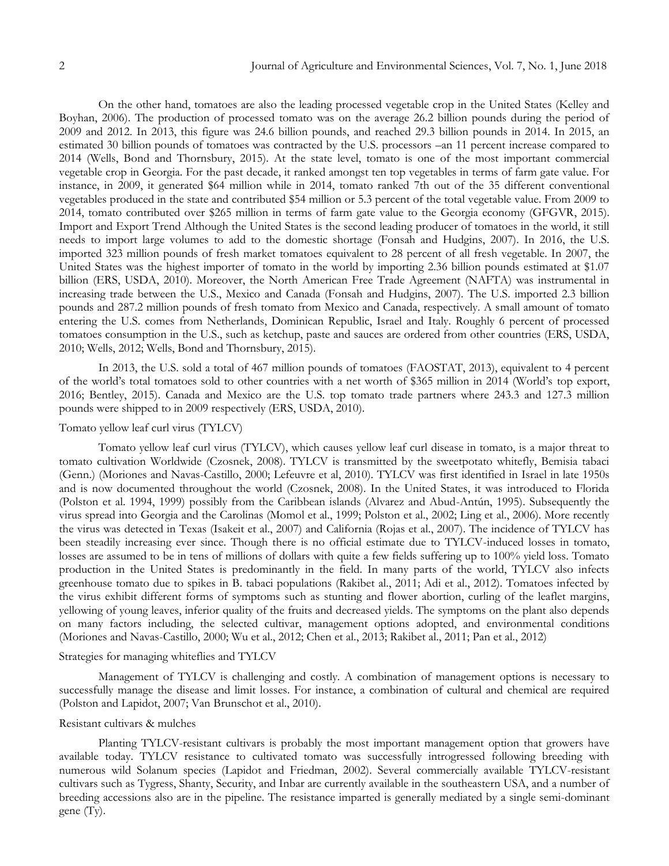On the other hand, tomatoes are also the leading processed vegetable crop in the United States (Kelley and Boyhan, 2006). The production of processed tomato was on the average 26.2 billion pounds during the period of 2009 and 2012. In 2013, this figure was 24.6 billion pounds, and reached 29.3 billion pounds in 2014. In 2015, an estimated 30 billion pounds of tomatoes was contracted by the U.S. processors –an 11 percent increase compared to 2014 (Wells, Bond and Thornsbury, 2015). At the state level, tomato is one of the most important commercial vegetable crop in Georgia. For the past decade, it ranked amongst ten top vegetables in terms of farm gate value. For instance, in 2009, it generated \$64 million while in 2014, tomato ranked 7th out of the 35 different conventional vegetables produced in the state and contributed \$54 million or 5.3 percent of the total vegetable value. From 2009 to 2014, tomato contributed over \$265 million in terms of farm gate value to the Georgia economy (GFGVR, 2015). Import and Export Trend Although the United States is the second leading producer of tomatoes in the world, it still needs to import large volumes to add to the domestic shortage (Fonsah and Hudgins, 2007). In 2016, the U.S. imported 323 million pounds of fresh market tomatoes equivalent to 28 percent of all fresh vegetable. In 2007, the United States was the highest importer of tomato in the world by importing 2.36 billion pounds estimated at \$1.07 billion (ERS, USDA, 2010). Moreover, the North American Free Trade Agreement (NAFTA) was instrumental in increasing trade between the U.S., Mexico and Canada (Fonsah and Hudgins, 2007). The U.S. imported 2.3 billion pounds and 287.2 million pounds of fresh tomato from Mexico and Canada, respectively. A small amount of tomato entering the U.S. comes from Netherlands, Dominican Republic, Israel and Italy. Roughly 6 percent of processed tomatoes consumption in the U.S., such as ketchup, paste and sauces are ordered from other countries (ERS, USDA, 2010; Wells, 2012; Wells, Bond and Thornsbury, 2015).

In 2013, the U.S. sold a total of 467 million pounds of tomatoes (FAOSTAT, 2013), equivalent to 4 percent of the world"s total tomatoes sold to other countries with a net worth of \$365 million in 2014 (World"s top export, 2016; Bentley, 2015). Canada and Mexico are the U.S. top tomato trade partners where 243.3 and 127.3 million pounds were shipped to in 2009 respectively (ERS, USDA, 2010).

## Tomato yellow leaf curl virus (TYLCV)

Tomato yellow leaf curl virus (TYLCV), which causes yellow leaf curl disease in tomato, is a major threat to tomato cultivation Worldwide (Czosnek, 2008). TYLCV is transmitted by the sweetpotato whitefly, Bemisia tabaci (Genn.) (Moriones and Navas-Castillo, 2000; Lefeuvre et al, 2010). TYLCV was first identified in Israel in late 1950s and is now documented throughout the world (Czosnek, 2008). In the United States, it was introduced to Florida (Polston et al. 1994, 1999) possibly from the Caribbean islands (Alvarez and Abud-Antún, 1995). Subsequently the virus spread into Georgia and the Carolinas (Momol et al., 1999; Polston et al., 2002; Ling et al., 2006). More recently the virus was detected in Texas (Isakeit et al., 2007) and California (Rojas et al., 2007). The incidence of TYLCV has been steadily increasing ever since. Though there is no official estimate due to TYLCV-induced losses in tomato, losses are assumed to be in tens of millions of dollars with quite a few fields suffering up to 100% yield loss. Tomato production in the United States is predominantly in the field. In many parts of the world, TYLCV also infects greenhouse tomato due to spikes in B. tabaci populations (Rakibet al., 2011; Adi et al., 2012). Tomatoes infected by the virus exhibit different forms of symptoms such as stunting and flower abortion, curling of the leaflet margins, yellowing of young leaves, inferior quality of the fruits and decreased yields. The symptoms on the plant also depends on many factors including, the selected cultivar, management options adopted, and environmental conditions (Moriones and Navas-Castillo, 2000; Wu et al., 2012; Chen et al., 2013; Rakibet al., 2011; Pan et al., 2012)

## Strategies for managing whiteflies and TYLCV

Management of TYLCV is challenging and costly. A combination of management options is necessary to successfully manage the disease and limit losses. For instance, a combination of cultural and chemical are required (Polston and Lapidot, 2007; Van Brunschot et al., 2010).

## Resistant cultivars & mulches

Planting TYLCV-resistant cultivars is probably the most important management option that growers have available today. TYLCV resistance to cultivated tomato was successfully introgressed following breeding with numerous wild Solanum species (Lapidot and Friedman, 2002). Several commercially available TYLCV-resistant cultivars such as Tygress, Shanty, Security, and Inbar are currently available in the southeastern USA, and a number of breeding accessions also are in the pipeline. The resistance imparted is generally mediated by a single semi-dominant gene (Ty).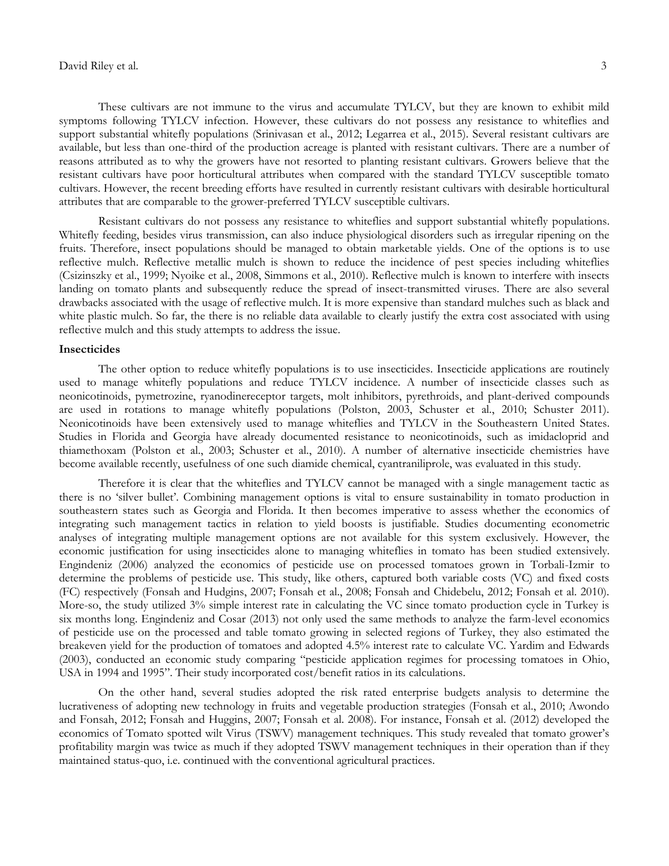#### David Riley et al. 3

These cultivars are not immune to the virus and accumulate TYLCV, but they are known to exhibit mild symptoms following TYLCV infection. However, these cultivars do not possess any resistance to whiteflies and support substantial whitefly populations (Srinivasan et al., 2012; Legarrea et al., 2015). Several resistant cultivars are available, but less than one-third of the production acreage is planted with resistant cultivars. There are a number of reasons attributed as to why the growers have not resorted to planting resistant cultivars. Growers believe that the resistant cultivars have poor horticultural attributes when compared with the standard TYLCV susceptible tomato cultivars. However, the recent breeding efforts have resulted in currently resistant cultivars with desirable horticultural attributes that are comparable to the grower-preferred TYLCV susceptible cultivars.

Resistant cultivars do not possess any resistance to whiteflies and support substantial whitefly populations. Whitefly feeding, besides virus transmission, can also induce physiological disorders such as irregular ripening on the fruits. Therefore, insect populations should be managed to obtain marketable yields. One of the options is to use reflective mulch. Reflective metallic mulch is shown to reduce the incidence of pest species including whiteflies (Csizinszky et al., 1999; Nyoike et al., 2008, Simmons et al., 2010). Reflective mulch is known to interfere with insects landing on tomato plants and subsequently reduce the spread of insect-transmitted viruses. There are also several drawbacks associated with the usage of reflective mulch. It is more expensive than standard mulches such as black and white plastic mulch. So far, the there is no reliable data available to clearly justify the extra cost associated with using reflective mulch and this study attempts to address the issue.

#### **Insecticides**

The other option to reduce whitefly populations is to use insecticides. Insecticide applications are routinely used to manage whitefly populations and reduce TYLCV incidence. A number of insecticide classes such as neonicotinoids, pymetrozine, ryanodinereceptor targets, molt inhibitors, pyrethroids, and plant-derived compounds are used in rotations to manage whitefly populations (Polston, 2003, Schuster et al., 2010; Schuster 2011). Neonicotinoids have been extensively used to manage whiteflies and TYLCV in the Southeastern United States. Studies in Florida and Georgia have already documented resistance to neonicotinoids, such as imidacloprid and thiamethoxam (Polston et al., 2003; Schuster et al., 2010). A number of alternative insecticide chemistries have become available recently, usefulness of one such diamide chemical, cyantraniliprole, was evaluated in this study.

Therefore it is clear that the whiteflies and TYLCV cannot be managed with a single management tactic as there is no "silver bullet". Combining management options is vital to ensure sustainability in tomato production in southeastern states such as Georgia and Florida. It then becomes imperative to assess whether the economics of integrating such management tactics in relation to yield boosts is justifiable. Studies documenting econometric analyses of integrating multiple management options are not available for this system exclusively. However, the economic justification for using insecticides alone to managing whiteflies in tomato has been studied extensively. Engindeniz (2006) analyzed the economics of pesticide use on processed tomatoes grown in Torbali-Izmir to determine the problems of pesticide use. This study, like others, captured both variable costs (VC) and fixed costs (FC) respectively (Fonsah and Hudgins, 2007; Fonsah et al., 2008; Fonsah and Chidebelu, 2012; Fonsah et al. 2010). More-so, the study utilized 3% simple interest rate in calculating the VC since tomato production cycle in Turkey is six months long. Engindeniz and Cosar (2013) not only used the same methods to analyze the farm-level economics of pesticide use on the processed and table tomato growing in selected regions of Turkey, they also estimated the breakeven yield for the production of tomatoes and adopted 4.5% interest rate to calculate VC. Yardim and Edwards (2003), conducted an economic study comparing "pesticide application regimes for processing tomatoes in Ohio, USA in 1994 and 1995". Their study incorporated cost/benefit ratios in its calculations.

On the other hand, several studies adopted the risk rated enterprise budgets analysis to determine the lucrativeness of adopting new technology in fruits and vegetable production strategies (Fonsah et al., 2010; Awondo and Fonsah, 2012; Fonsah and Huggins, 2007; Fonsah et al. 2008). For instance, Fonsah et al. (2012) developed the economics of Tomato spotted wilt Virus (TSWV) management techniques. This study revealed that tomato grower's profitability margin was twice as much if they adopted TSWV management techniques in their operation than if they maintained status-quo, i.e. continued with the conventional agricultural practices.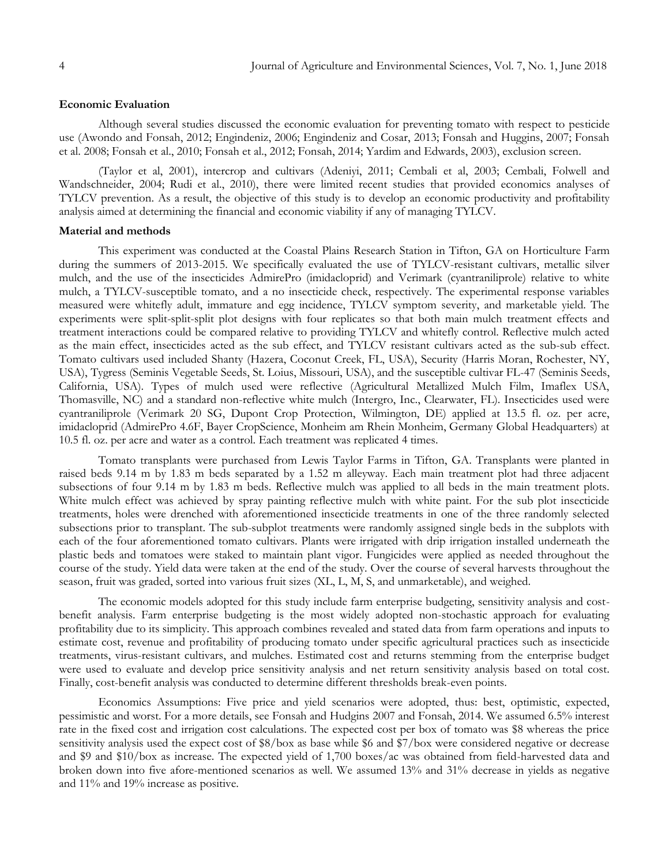## **Economic Evaluation**

Although several studies discussed the economic evaluation for preventing tomato with respect to pesticide use (Awondo and Fonsah, 2012; Engindeniz, 2006; Engindeniz and Cosar, 2013; Fonsah and Huggins, 2007; Fonsah et al. 2008; Fonsah et al., 2010; Fonsah et al., 2012; Fonsah, 2014; Yardim and Edwards, 2003), exclusion screen.

(Taylor et al, 2001), intercrop and cultivars (Adeniyi, 2011; Cembali et al, 2003; Cembali, Folwell and Wandschneider, 2004; Rudi et al., 2010), there were limited recent studies that provided economics analyses of TYLCV prevention. As a result, the objective of this study is to develop an economic productivity and profitability analysis aimed at determining the financial and economic viability if any of managing TYLCV.

#### **Material and methods**

This experiment was conducted at the Coastal Plains Research Station in Tifton, GA on Horticulture Farm during the summers of 2013-2015. We specifically evaluated the use of TYLCV-resistant cultivars, metallic silver mulch, and the use of the insecticides AdmirePro (imidacloprid) and Verimark (cyantraniliprole) relative to white mulch, a TYLCV-susceptible tomato, and a no insecticide check, respectively. The experimental response variables measured were whitefly adult, immature and egg incidence, TYLCV symptom severity, and marketable yield. The experiments were split-split-split plot designs with four replicates so that both main mulch treatment effects and treatment interactions could be compared relative to providing TYLCV and whitefly control. Reflective mulch acted as the main effect, insecticides acted as the sub effect, and TYLCV resistant cultivars acted as the sub-sub effect. Tomato cultivars used included Shanty (Hazera, Coconut Creek, FL, USA), Security (Harris Moran, Rochester, NY, USA), Tygress (Seminis Vegetable Seeds, St. Loius, Missouri, USA), and the susceptible cultivar FL-47 (Seminis Seeds, California, USA). Types of mulch used were reflective (Agricultural Metallized Mulch Film, Imaflex USA, Thomasville, NC) and a standard non-reflective white mulch (Intergro, Inc., Clearwater, FL). Insecticides used were cyantraniliprole (Verimark 20 SG, Dupont Crop Protection, Wilmington, DE) applied at 13.5 fl. oz. per acre, imidacloprid (AdmirePro 4.6F, Bayer CropScience, Monheim am Rhein Monheim, Germany Global Headquarters) at 10.5 fl. oz. per acre and water as a control. Each treatment was replicated 4 times.

Tomato transplants were purchased from Lewis Taylor Farms in Tifton, GA. Transplants were planted in raised beds 9.14 m by 1.83 m beds separated by a 1.52 m alleyway. Each main treatment plot had three adjacent subsections of four 9.14 m by 1.83 m beds. Reflective mulch was applied to all beds in the main treatment plots. White mulch effect was achieved by spray painting reflective mulch with white paint. For the sub plot insecticide treatments, holes were drenched with aforementioned insecticide treatments in one of the three randomly selected subsections prior to transplant. The sub-subplot treatments were randomly assigned single beds in the subplots with each of the four aforementioned tomato cultivars. Plants were irrigated with drip irrigation installed underneath the plastic beds and tomatoes were staked to maintain plant vigor. Fungicides were applied as needed throughout the course of the study. Yield data were taken at the end of the study. Over the course of several harvests throughout the season, fruit was graded, sorted into various fruit sizes (XL, L, M, S, and unmarketable), and weighed.

The economic models adopted for this study include farm enterprise budgeting, sensitivity analysis and costbenefit analysis. Farm enterprise budgeting is the most widely adopted non-stochastic approach for evaluating profitability due to its simplicity. This approach combines revealed and stated data from farm operations and inputs to estimate cost, revenue and profitability of producing tomato under specific agricultural practices such as insecticide treatments, virus-resistant cultivars, and mulches. Estimated cost and returns stemming from the enterprise budget were used to evaluate and develop price sensitivity analysis and net return sensitivity analysis based on total cost. Finally, cost-benefit analysis was conducted to determine different thresholds break-even points.

Economics Assumptions: Five price and yield scenarios were adopted, thus: best, optimistic, expected, pessimistic and worst. For a more details, see Fonsah and Hudgins 2007 and Fonsah, 2014. We assumed 6.5% interest rate in the fixed cost and irrigation cost calculations. The expected cost per box of tomato was \$8 whereas the price sensitivity analysis used the expect cost of \$8/box as base while \$6 and \$7/box were considered negative or decrease and \$9 and \$10/box as increase. The expected yield of 1,700 boxes/ac was obtained from field-harvested data and broken down into five afore-mentioned scenarios as well. We assumed 13% and 31% decrease in yields as negative and 11% and 19% increase as positive.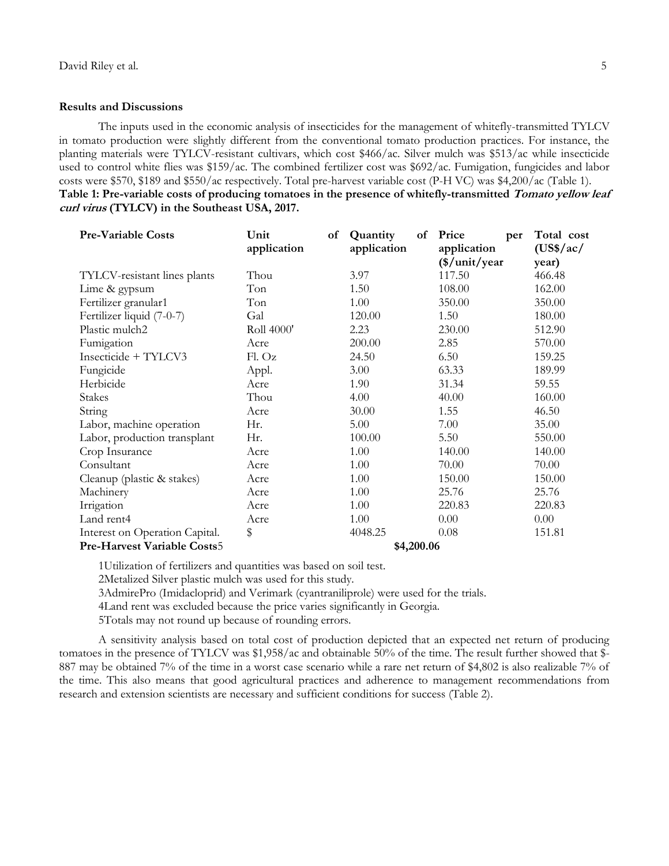#### **Results and Discussions**

The inputs used in the economic analysis of insecticides for the management of whitefly-transmitted TYLCV in tomato production were slightly different from the conventional tomato production practices. For instance, the planting materials were TYLCV-resistant cultivars, which cost \$466/ac. Silver mulch was \$513/ac while insecticide used to control white flies was \$159/ac. The combined fertilizer cost was \$692/ac. Fumigation, fungicides and labor costs were \$570, \$189 and \$550/ac respectively. Total pre-harvest variable cost (P-H VC) was \$4,200/ac (Table 1). **Table 1: Pre-variable costs of producing tomatoes in the presence of whitefly-transmitted Tomato yellow leaf curl virus (TYLCV) in the Southeast USA, 2017.**

| <b>Pre-Variable Costs</b>          | Unit<br>application | of | Quantity<br>application | of | Price<br>application      | per | Total cost<br>(US\$/ac/ |
|------------------------------------|---------------------|----|-------------------------|----|---------------------------|-----|-------------------------|
|                                    |                     |    |                         |    | $(\frac{\$}{unit}{year})$ |     | year)                   |
| TYLCV-resistant lines plants       | Thou                |    | 3.97                    |    | 117.50                    |     | 466.48                  |
| Lime & gypsum                      | Ton                 |    | 1.50                    |    | 108.00                    |     | 162.00                  |
| Fertilizer granular1               | Ton                 |    | 1.00                    |    | 350.00                    |     | 350.00                  |
| Fertilizer liquid (7-0-7)          | Gal                 |    | 120.00                  |    | 1.50                      |     | 180.00                  |
| Plastic mulch2                     | Roll 4000'          |    | 2.23                    |    | 230.00                    |     | 512.90                  |
| Fumigation                         | Acre                |    | 200.00                  |    | 2.85                      |     | 570.00                  |
| Insecticide + TYLCV3               | Fl. Oz              |    | 24.50                   |    | 6.50                      |     | 159.25                  |
| Fungicide                          | Appl.               |    | 3.00                    |    | 63.33                     |     | 189.99                  |
| Herbicide                          | Acre                |    | 1.90                    |    | 31.34                     |     | 59.55                   |
| <b>Stakes</b>                      | Thou                |    | 4.00                    |    | 40.00                     |     | 160.00                  |
| String                             | Acre                |    | 30.00                   |    | 1.55                      |     | 46.50                   |
| Labor, machine operation           | Hr.                 |    | 5.00                    |    | 7.00                      |     | 35.00                   |
| Labor, production transplant       | Hr.                 |    | 100.00                  |    | 5.50                      |     | 550.00                  |
| Crop Insurance                     | Acre                |    | 1.00                    |    | 140.00                    |     | 140.00                  |
| Consultant                         | Acre                |    | 1.00                    |    | 70.00                     |     | 70.00                   |
| Cleanup (plastic & stakes)         | Acre                |    | 1.00                    |    | 150.00                    |     | 150.00                  |
| Machinery                          | Acre                |    | 1.00                    |    | 25.76                     |     | 25.76                   |
| Irrigation                         | Acre                |    | 1.00                    |    | 220.83                    |     | 220.83                  |
| Land rent4                         | Acre                |    | 1.00                    |    | 0.00                      |     | 0.00                    |
| Interest on Operation Capital.     | \$                  |    | 4048.25                 |    | 0.08                      |     | 151.81                  |
| <b>Pre-Harvest Variable Costs5</b> | \$4,200.06          |    |                         |    |                           |     |                         |

1Utilization of fertilizers and quantities was based on soil test.

2Metalized Silver plastic mulch was used for this study.

3AdmirePro (Imidacloprid) and Verimark (cyantraniliprole) were used for the trials.

4Land rent was excluded because the price varies significantly in Georgia.

5Totals may not round up because of rounding errors.

A sensitivity analysis based on total cost of production depicted that an expected net return of producing tomatoes in the presence of TYLCV was \$1,958/ac and obtainable 50% of the time. The result further showed that \$- 887 may be obtained 7% of the time in a worst case scenario while a rare net return of \$4,802 is also realizable 7% of the time. This also means that good agricultural practices and adherence to management recommendations from research and extension scientists are necessary and sufficient conditions for success (Table 2).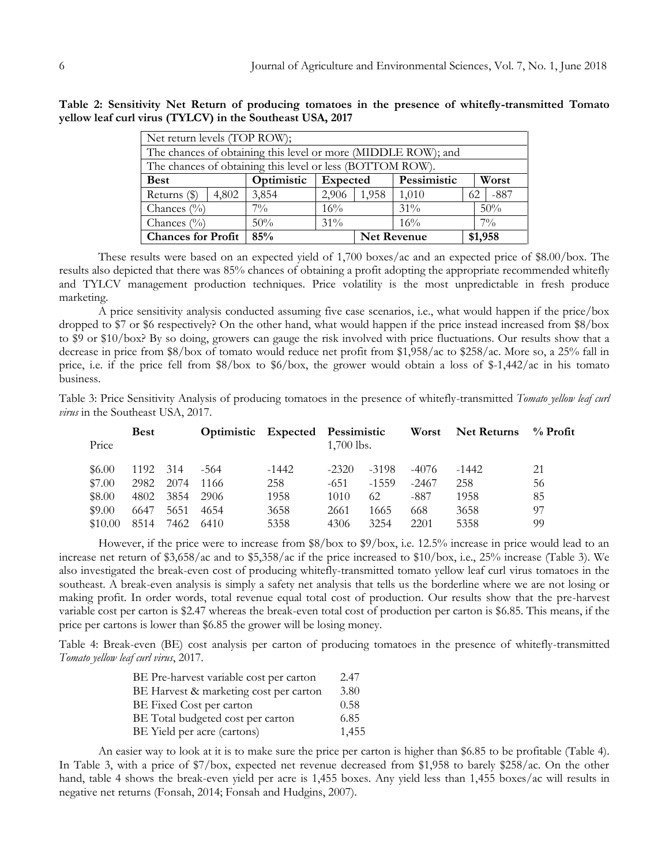| Net return levels (TOP ROW);                                  |       |               |          |                    |             |    |         |  |
|---------------------------------------------------------------|-------|---------------|----------|--------------------|-------------|----|---------|--|
| The chances of obtaining this level or more (MIDDLE ROW); and |       |               |          |                    |             |    |         |  |
| The chances of obtaining this level or less (BOTTOM ROW).     |       |               |          |                    |             |    |         |  |
| <b>Best</b>                                                   |       | Optimistic    | Expected |                    | Pessimistic |    | Worst   |  |
| Returns (\$)                                                  | 4,802 | 3,854         | 2,906    | 1,958              | 1,010       | 62 | $-887$  |  |
| Chances $(\%)$                                                |       | $7\%$<br>16%  |          |                    | $31\%$      |    | 50%     |  |
| Chances $\frac{0}{0}$                                         |       | $31\%$<br>50% |          |                    | 16%         |    | $7\%$   |  |
| <b>Chances for Profit</b>                                     |       | 85%           |          | <b>Net Revenue</b> |             |    | \$1,958 |  |

**Table 2: Sensitivity Net Return of producing tomatoes in the presence of whitefly-transmitted Tomato yellow leaf curl virus (TYLCV) in the Southeast USA, 2017**

These results were based on an expected yield of 1,700 boxes/ac and an expected price of \$8.00/box. The results also depicted that there was 85% chances of obtaining a profit adopting the appropriate recommended whitefly and TYLCV management production techniques. Price volatility is the most unpredictable in fresh produce marketing.

A price sensitivity analysis conducted assuming five case scenarios, i.e., what would happen if the price/box dropped to \$7 or \$6 respectively? On the other hand, what would happen if the price instead increased from \$8/box to \$9 or \$10/box? By so doing, growers can gauge the risk involved with price fluctuations. Our results show that a decrease in price from \$8/box of tomato would reduce net profit from \$1,958/ac to \$258/ac. More so, a 25% fall in price, i.e. if the price fell from \$8/box to \$6/box, the grower would obtain a loss of \$-1,442/ac in his tomato business.

Table 3: Price Sensitivity Analysis of producing tomatoes in the presence of whitefly-transmitted *Tomato yellow leaf curl virus* in the Southeast USA, 2017.

| Price    | <b>Best</b> |      |      |         | Optimistic Expected Pessimistic<br>$1,700$ lbs. |         | Worst | Net Returns | $\%$ Profit |
|----------|-------------|------|------|---------|-------------------------------------------------|---------|-------|-------------|-------------|
| \$6.00\$ | 1192        | 314  | -564 | $-1442$ | $-2320$                                         | -3198   | -4076 | $-1442$     | 21          |
| \$7.00   | 2982        | 2074 | 1166 | 258     | -651                                            | $-1559$ | -2467 | 258         | 56          |
| \$8.00   | 4802        | 3854 | 2906 | 1958    | 1010                                            | 62      | -887  | 1958        | 85          |
| \$9.00   | 6647        | 5651 | 4654 | 3658    | 2661                                            | 1665    | 668   | 3658        | 97          |
| \$10.00  | 8514        | 7462 | 6410 | 5358    | 4306                                            | 3254    | 2201  | 5358        | 99          |

However, if the price were to increase from \$8/box to \$9/box, i.e. 12.5% increase in price would lead to an increase net return of \$3,658/ac and to \$5,358/ac if the price increased to \$10/box, i.e., 25% increase (Table 3). We also investigated the break-even cost of producing whitefly-transmitted tomato yellow leaf curl virus tomatoes in the southeast. A break-even analysis is simply a safety net analysis that tells us the borderline where we are not losing or making profit. In order words, total revenue equal total cost of production. Our results show that the pre-harvest variable cost per carton is \$2.47 whereas the break-even total cost of production per carton is \$6.85. This means, if the price per cartons is lower than \$6.85 the grower will be losing money.

Table 4: Break-even (BE) cost analysis per carton of producing tomatoes in the presence of whitefly-transmitted *Tomato yellow leaf curl virus*, 2017.

| BE Pre-harvest variable cost per carton | 2.47  |
|-----------------------------------------|-------|
| BE Harvest & marketing cost per carton  | 3.80  |
| BE Fixed Cost per carton                | 0.58  |
| BE Total budgeted cost per carton       | 6.85  |
| BE Yield per acre (cartons)             | 1,455 |

An easier way to look at it is to make sure the price per carton is higher than \$6.85 to be profitable (Table 4). In Table 3, with a price of \$7/box, expected net revenue decreased from \$1,958 to barely \$258/ac. On the other hand, table 4 shows the break-even yield per acre is 1,455 boxes. Any yield less than 1,455 boxes/ac will results in negative net returns (Fonsah, 2014; Fonsah and Hudgins, 2007).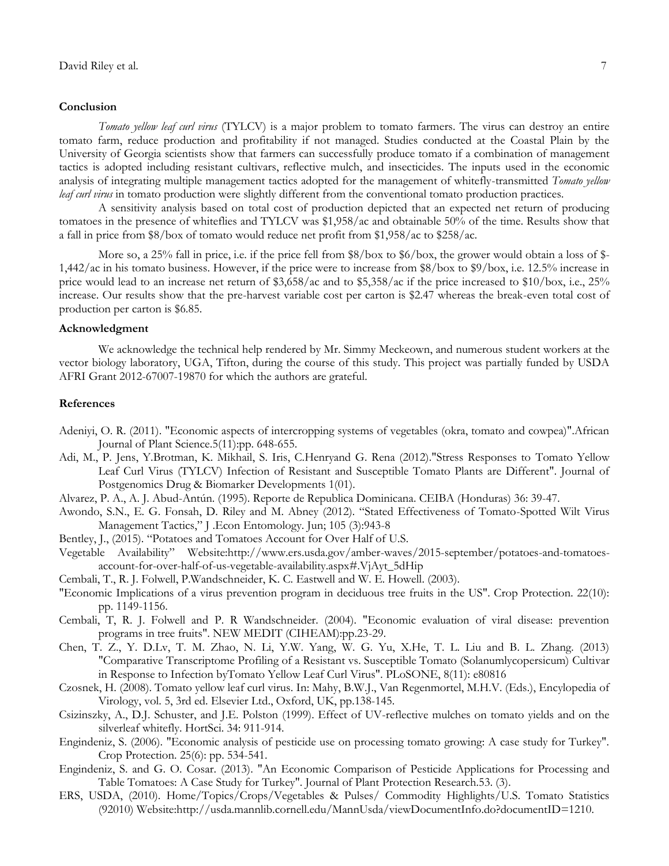#### **Conclusion**

*Tomato yellow leaf curl virus* (TYLCV) is a major problem to tomato farmers. The virus can destroy an entire tomato farm, reduce production and profitability if not managed. Studies conducted at the Coastal Plain by the University of Georgia scientists show that farmers can successfully produce tomato if a combination of management tactics is adopted including resistant cultivars, reflective mulch, and insecticides. The inputs used in the economic analysis of integrating multiple management tactics adopted for the management of whitefly-transmitted *Tomato yellow leaf curl virus* in tomato production were slightly different from the conventional tomato production practices.

A sensitivity analysis based on total cost of production depicted that an expected net return of producing tomatoes in the presence of whiteflies and TYLCV was \$1,958/ac and obtainable 50% of the time. Results show that a fall in price from \$8/box of tomato would reduce net profit from \$1,958/ac to \$258/ac.

More so, a 25% fall in price, i.e. if the price fell from \$8/box to \$6/box, the grower would obtain a loss of \$-1,442/ac in his tomato business. However, if the price were to increase from \$8/box to \$9/box, i.e. 12.5% increase in price would lead to an increase net return of \$3,658/ac and to \$5,358/ac if the price increased to \$10/box, i.e., 25% increase. Our results show that the pre-harvest variable cost per carton is \$2.47 whereas the break-even total cost of production per carton is \$6.85.

#### **Acknowledgment**

We acknowledge the technical help rendered by Mr. Simmy Meckeown, and numerous student workers at the vector biology laboratory, UGA, Tifton, during the course of this study. This project was partially funded by USDA AFRI Grant 2012-67007-19870 for which the authors are grateful.

#### **References**

- Adeniyi, O. R. (2011). "Economic aspects of intercropping systems of vegetables (okra, tomato and cowpea)".African Journal of Plant Science.5(11):pp. 648-655.
- Adi, M., P. Jens, Y.Brotman, K. Mikhail, S. Iris, C.Henryand G. Rena (2012)."Stress Responses to Tomato Yellow Leaf Curl Virus (TYLCV) Infection of Resistant and Susceptible Tomato Plants are Different". Journal of Postgenomics Drug & Biomarker Developments 1(01).
- Alvarez, P. A., A. J. Abud-Antún. (1995). Reporte de Republica Dominicana. CEIBA (Honduras) 36: 39-47.
- Awondo, S.N., E. G. Fonsah, D. Riley and M. Abney (2012). "Stated Effectiveness of Tomato-Spotted Wilt Virus Management Tactics," J .Econ Entomology. Jun; 105 (3):943-8
- Bentley, J., (2015). "Potatoes and Tomatoes Account for Over Half of U.S.
- Vegetable Availability" Website:http://www.ers.usda.gov/amber-waves/2015-september/potatoes-and-tomatoesaccount-for-over-half-of-us-vegetable-availability.aspx#.VjAyt\_5dHip
- Cembali, T., R. J. Folwell, P.Wandschneider, K. C. Eastwell and W. E. Howell. (2003).
- "Economic Implications of a virus prevention program in deciduous tree fruits in the US". Crop Protection. 22(10): pp. 1149-1156.
- Cembali, T, R. J. Folwell and P. R Wandschneider. (2004). "Economic evaluation of viral disease: prevention programs in tree fruits". NEW MEDIT (CIHEAM):pp.23-29.
- Chen, T. Z., Y. D.Lv, T. M. Zhao, N. Li, Y.W. Yang, W. G. Yu, X.He, T. L. Liu and B. L. Zhang. (2013) "Comparative Transcriptome Profiling of a Resistant vs. Susceptible Tomato (Solanumlycopersicum) Cultivar in Response to Infection byTomato Yellow Leaf Curl Virus". PLoSONE, 8(11): e80816
- Czosnek, H. (2008). Tomato yellow leaf curl virus. In: Mahy, B.W.J., Van Regenmortel, M.H.V. (Eds.), Encylopedia of Virology, vol. 5, 3rd ed. Elsevier Ltd., Oxford, UK, pp.138-145.
- Csizinszky, A., D.J. Schuster, and J.E. Polston (1999). Effect of UV-reflective mulches on tomato yields and on the silverleaf whitefly. HortSci. 34: 911-914.
- Engindeniz, S. (2006). "Economic analysis of pesticide use on processing tomato growing: A case study for Turkey". Crop Protection. 25(6): pp. 534-541.
- Engindeniz, S. and G. O. Cosar. (2013). "An Economic Comparison of Pesticide Applications for Processing and Table Tomatoes: A Case Study for Turkey". Journal of Plant Protection Research.53. (3).
- ERS, USDA, (2010). Home/Topics/Crops/Vegetables & Pulses/ Commodity Highlights/U.S. Tomato Statistics (92010) Website:http://usda.mannlib.cornell.edu/MannUsda/viewDocumentInfo.do?documentID=1210.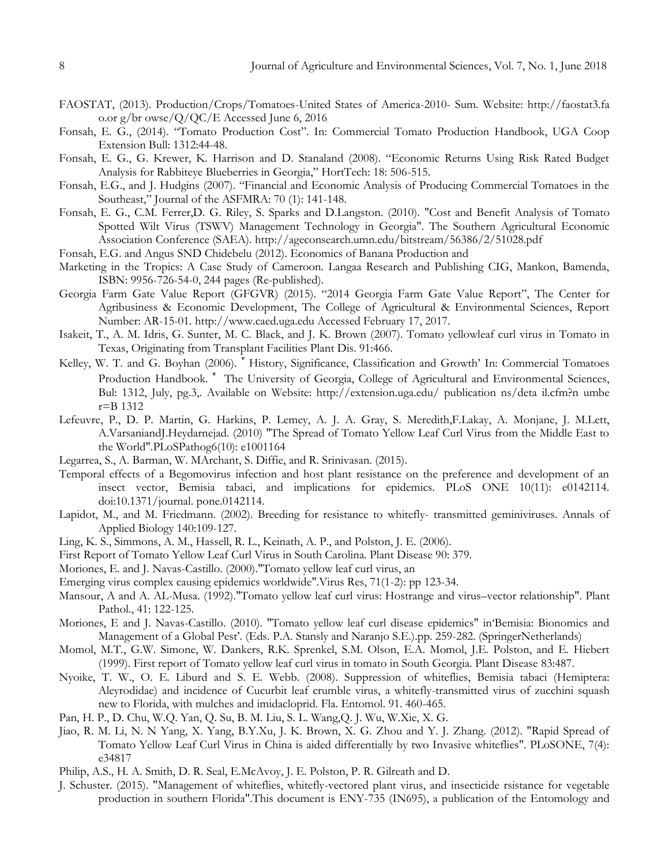- FAOSTAT, (2013). Production/Crops/Tomatoes-United States of America-2010- Sum. Website: http://faostat3.fa o.or g/br owse/Q/QC/E Accessed June 6, 2016
- Fonsah, E. G., (2014). "Tomato Production Cost". In: Commercial Tomato Production Handbook, UGA Coop Extension Bull: 1312:44-48.
- Fonsah, E. G., G. Krewer, K. Harrison and D. Stanaland (2008). "Economic Returns Using Risk Rated Budget Analysis for Rabbiteye Blueberries in Georgia," HortTech: 18: 506-515.
- Fonsah, E.G., and J. Hudgins (2007). "Financial and Economic Analysis of Producing Commercial Tomatoes in the Southeast," Journal of the ASFMRA: 70 (1): 141-148.
- Fonsah, E. G., C.M. Ferrer,D. G. Riley, S. Sparks and D.Langston. (2010). "Cost and Benefit Analysis of Tomato Spotted Wilt Virus (TSWV) Management Technology in Georgia". The Southern Agricultural Economic Association Conference (SAEA). http://ageconsearch.umn.edu/bitstream/56386/2/51028.pdf
- Fonsah, E.G. and Angus SND Chidebelu (2012). Economics of Banana Production and
- Marketing in the Tropics: A Case Study of Cameroon. Langaa Research and Publishing CIG, Mankon, Bamenda, ISBN: 9956-726-54-0, 244 pages (Re-published).
- Georgia Farm Gate Value Report (GFGVR) (2015). "2014 Georgia Farm Gate Value Report", The Center for Agribusiness & Economic Development, The College of Agricultural & Environmental Sciences, Report Number: AR-15-01. http://www.caed.uga.edu Accessed February 17, 2017.
- Isakeit, T., A. M. Idris, G. Sunter, M. C. Black, and J. K. Brown (2007). Tomato yellowleaf curl virus in Tomato in Texas, Originating from Transplant Facilities Plant Dis. 91:466.
- Kelley, W. T. and G. Boyhan (2006). "History, Significance, Classification and Growth' In: Commercial Tomatoes Production Handbook." The University of Georgia, College of Agricultural and Environmental Sciences, Bul: 1312, July, pg.3,. Available on Website:<http://extension.uga.edu/> publication ns/deta il.cfm?n umbe r=B 1312
- Lefeuvre, P., D. P. Martin, G. Harkins, P. Lemey, A. J. A. Gray, S. Meredith,F.Lakay, A. Monjane, J. M.Lett, A.VarsaniandJ.Heydarnejad. (2010) "The Spread of Tomato Yellow Leaf Curl Virus from the Middle East to the World".PLoSPathog6(10): e1001164
- Legarrea, S., A. Barman, W. MArchant, S. Diffie, and R. Srinivasan. (2015).
- Temporal effects of a Begomovirus infection and host plant resistance on the preference and development of an insect vector, Bemisia tabaci, and implications for epidemics. PLoS ONE 10(11): e0142114. doi:10.1371/journal. pone.0142114.
- Lapidot, M., and M. Friedmann. (2002). Breeding for resistance to whitefly- transmitted geminiviruses. Annals of Applied Biology 140:109-127.
- Ling, K. S., Simmons, A. M., Hassell, R. L., Keinath, A. P., and Polston, J. E. (2006).
- First Report of Tomato Yellow Leaf Curl Virus in South Carolina. Plant Disease 90: 379.
- Moriones, E. and J. Navas-Castillo. (2000)."Tomato yellow leaf curl virus, an
- Emerging virus complex causing epidemics worldwide".Virus Res, 71(1-2): pp 123-34.
- Mansour, A and A. AL-Musa. (1992)."Tomato yellow leaf curl virus: Hostrange and virus–vector relationship". Plant Pathol., 41: 122-125.
- Moriones, E and J. Navas-Castillo. (2010). "Tomato yellow leaf curl disease epidemics" in"Bemisia: Bionomics and Management of a Global Pest'. (Eds. P.A. Stansly and Naranjo S.E.).pp. 259-282. (SpringerNetherlands)
- Momol, M.T., G.W. Simone, W. Dankers, R.K. Sprenkel, S.M. Olson, E.A. Momol, J.E. Polston, and E. Hiebert (1999). First report of Tomato yellow leaf curl virus in tomato in South Georgia. Plant Disease 83:487.
- Nyoike, T. W., O. E. Liburd and S. E. Webb. (2008). Suppression of whiteflies, Bemisia tabaci (Hemiptera: Aleyrodidae) and incidence of Cucurbit leaf crumble virus, a whitefly-transmitted virus of zucchini squash new to Florida, with mulches and imidacloprid. Fla. Entomol. 91. 460-465.
- Pan, H. P., D. Chu, W.Q. Yan, Q. Su, B. M. Liu, S. L. Wang,Q. J. Wu, W.Xie, X. G.
- Jiao, R. M. Li, N. N Yang, X. Yang, B.Y.Xu, J. K. Brown, X. G. Zhou and Y. J. Zhang. (2012). "Rapid Spread of Tomato Yellow Leaf Curl Virus in China is aided differentially by two Invasive whiteflies". PLoSONE, 7(4): e34817
- Philip, A.S., H. A. Smith, D. R. Seal, E.McAvoy, J. E. Polston, P. R. Gilreath and D.
- J. Schuster. (2015). "Management of whiteflies, whitefly-vectored plant virus, and insecticide rsistance for vegetable production in southern Florida".This document is ENY-735 (IN695), a publication of the Entomology and